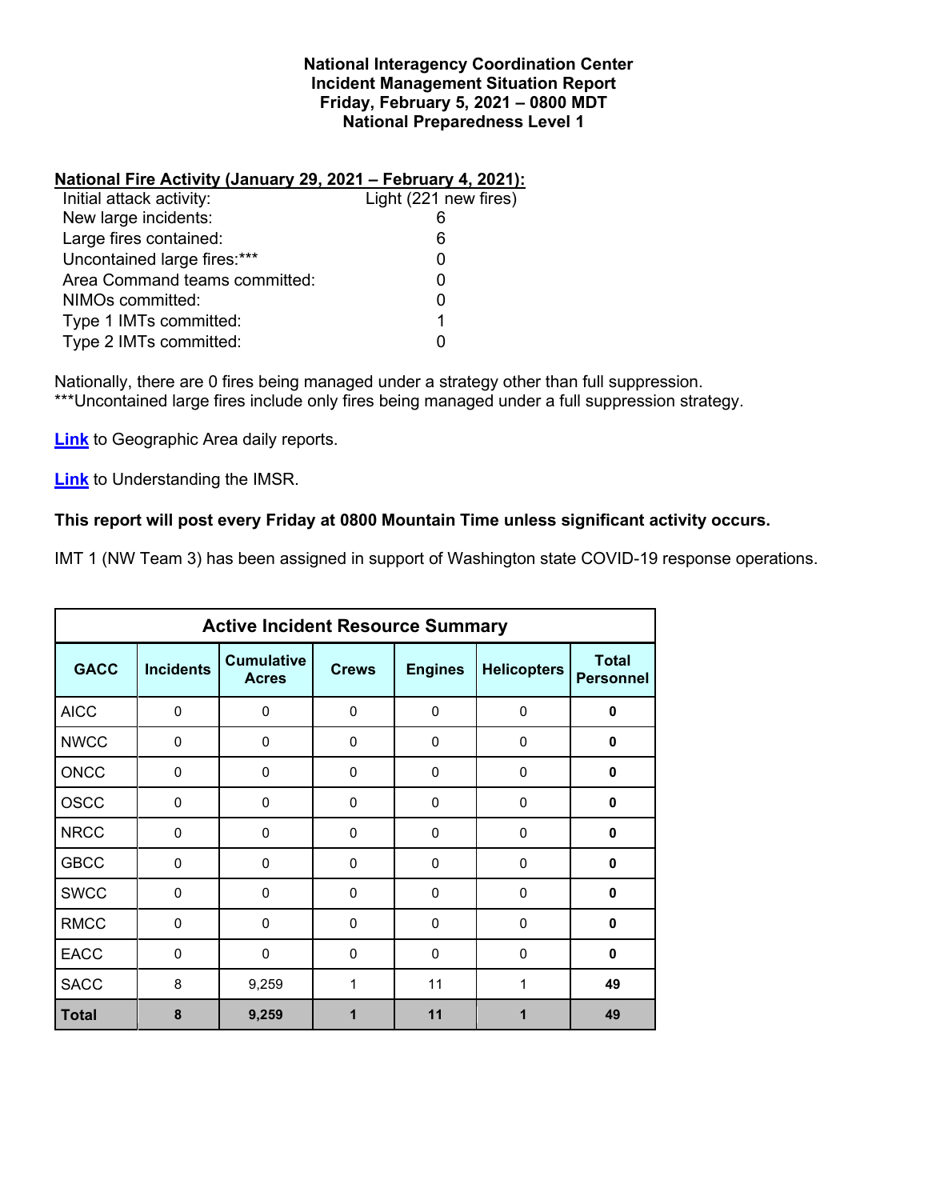### **National Interagency Coordination Center Incident Management Situation Report Friday, February 5, 2021 – 0800 MDT National Preparedness Level 1**

# **National Fire Activity (January 29, 2021 – February 4, 2021):**

| Initial attack activity:      | Light (221 new fires) |
|-------------------------------|-----------------------|
| New large incidents:          |                       |
| Large fires contained:        | 6                     |
| Uncontained large fires:***   | O                     |
| Area Command teams committed: | O                     |
| NIMOs committed:              | 0                     |
| Type 1 IMTs committed:        | 1                     |
| Type 2 IMTs committed:        |                       |
|                               |                       |

Nationally, there are 0 fires being managed under a strategy other than full suppression. \*\*\*Uncontained large fires include only fires being managed under a full suppression strategy.

**[Link](http://www.nifc.gov/nicc/predictive/statelinks.htm)** to Geographic Area daily reports.

**[Link](https://www.predictiveservices.nifc.gov/intelligence/Understanding%20the%20IMSR%202019.pdf)** to Understanding the IMSR.

# **This report will post every Friday at 0800 Mountain Time unless significant activity occurs.**

IMT 1 (NW Team 3) has been assigned in support of Washington state COVID-19 response operations.

| <b>Active Incident Resource Summary</b> |                  |                                   |              |                |                    |                                  |  |  |
|-----------------------------------------|------------------|-----------------------------------|--------------|----------------|--------------------|----------------------------------|--|--|
| <b>GACC</b>                             | <b>Incidents</b> | <b>Cumulative</b><br><b>Acres</b> | <b>Crews</b> | <b>Engines</b> | <b>Helicopters</b> | <b>Total</b><br><b>Personnel</b> |  |  |
| <b>AICC</b>                             | $\mathbf 0$      | 0                                 | 0            | 0              | $\mathbf 0$        | 0                                |  |  |
| <b>NWCC</b>                             | $\mathbf 0$      | 0                                 | $\mathbf{0}$ | 0              | $\mathbf 0$        | 0                                |  |  |
| <b>ONCC</b>                             | 0                | 0                                 | 0            | $\Omega$       | 0                  | 0                                |  |  |
| <b>OSCC</b>                             | $\mathbf 0$      | 0                                 | 0            | 0              | 0                  | 0                                |  |  |
| <b>NRCC</b>                             | $\mathbf 0$      | 0                                 | $\Omega$     | $\Omega$       | $\mathbf 0$        | 0                                |  |  |
| <b>GBCC</b>                             | $\Omega$         | 0                                 | $\mathbf{0}$ | $\Omega$       | $\mathbf{0}$       | $\bf{0}$                         |  |  |
| <b>SWCC</b>                             | $\Omega$         | 0                                 | $\mathbf{0}$ | $\mathbf{0}$   | $\mathbf 0$        | 0                                |  |  |
| <b>RMCC</b>                             | $\mathbf 0$      | 0                                 | 0            | 0              | $\mathbf 0$        | 0                                |  |  |
| <b>EACC</b>                             | $\Omega$         | 0                                 | $\mathbf{0}$ | $\mathbf{0}$   | $\Omega$           | $\bf{0}$                         |  |  |
| <b>SACC</b>                             | 8                | 9,259                             | 1            | 11             | 1                  | 49                               |  |  |
| <b>Total</b>                            | 8                | 9,259                             |              | 11             | 1                  | 49                               |  |  |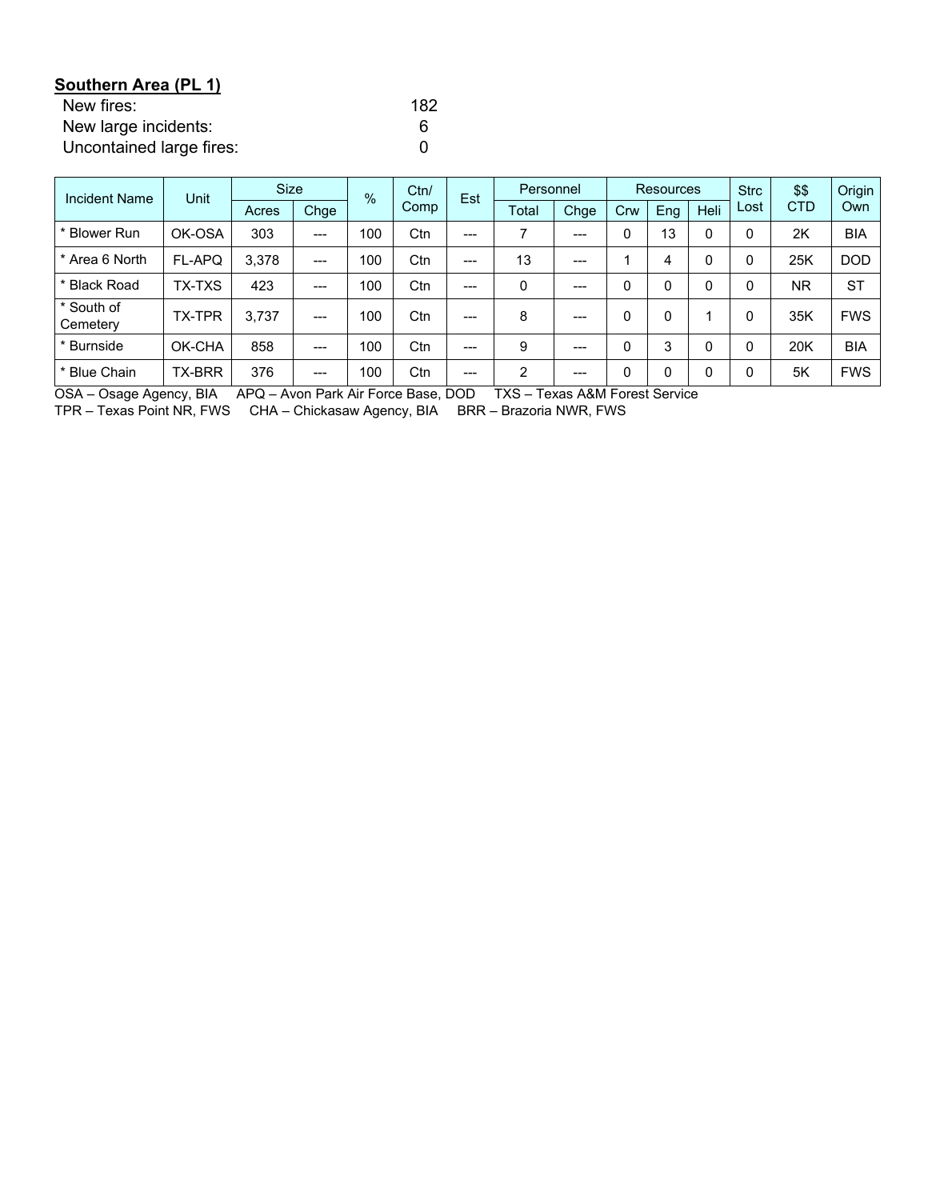| Southern Area (PL 1)     |     |
|--------------------------|-----|
| New fires:               | 182 |
| New large incidents:     | 6   |
| Uncontained large fires: |     |

| <b>Incident Name</b>   | Unit          |       | <b>Size</b> |     | Ctn/<br>$\frac{0}{6}$ | Est   | Personnel      |       | <b>Resources</b> |             |          | <b>Strc</b> | \$\$       | Origin     |
|------------------------|---------------|-------|-------------|-----|-----------------------|-------|----------------|-------|------------------|-------------|----------|-------------|------------|------------|
|                        |               | Acres | Chge        |     | Comp                  |       | Total          | Chge  | Crw              | Eng         | Heli     | Lost        | <b>CTD</b> | Own        |
| * Blower Run           | OK-OSA        | 303   | ---         | 100 | Ctn                   | $---$ | ⇁              | $---$ |                  | 13          | 0        |             | 2K         | <b>BIA</b> |
| * Area 6 North         | FL-APQ        | 3.378 | ---         | 100 | Ctn                   | $---$ | 13             | $---$ |                  | 4           | $\Omega$ |             | 25K        | <b>DOD</b> |
| * Black Road           | TX-TXS        | 423   | $---$       | 100 | Ctn                   | $---$ | $\mathbf{0}$   | $---$ |                  | $\mathbf 0$ | 0        |             | NR.        | <b>ST</b>  |
| * South of<br>Cemetery | <b>TX-TPR</b> | 3.737 | $---$       | 100 | Ctn                   | $---$ | 8              | $---$ |                  | 0           |          |             | 35K        | <b>FWS</b> |
| * Burnside             | OK-CHA        | 858   | ---         | 100 | Ctn                   | $---$ | 9              | $---$ |                  | 3           | 0        |             | 20K        | <b>BIA</b> |
| * Blue Chain           | <b>TX-BRR</b> | 376   | ---         | 100 | Ctn                   | $---$ | $\overline{2}$ | $---$ |                  | 0           | 0        |             | 5K         | <b>FWS</b> |

OSA – Osage Agency, BIA APQ – Avon Park Air Force Base, DOD TXS – Texas A&M Forest Service

TPR – Texas Point NR, FWS CHA – Chickasaw Agency, BIA BRR – Brazoria NWR, FWS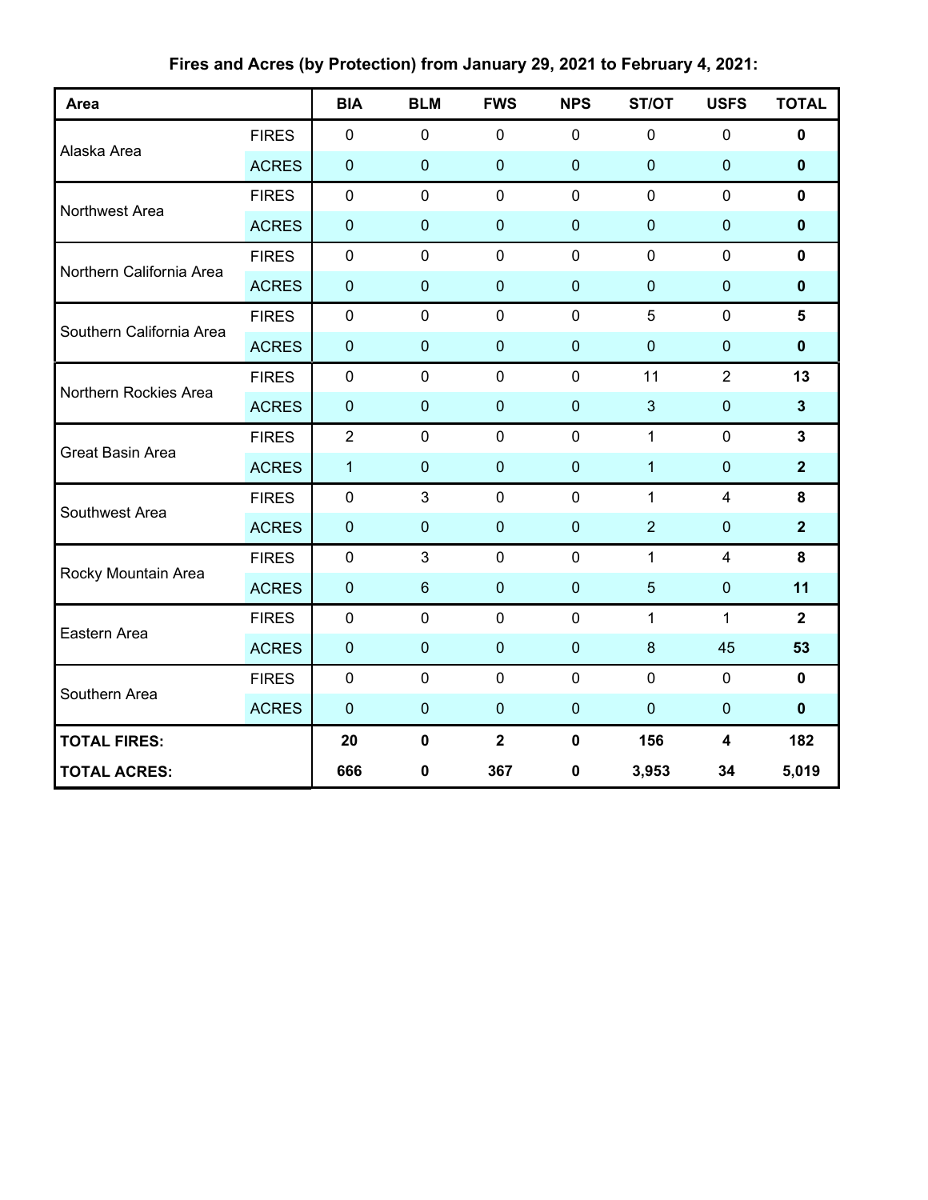| Area                     |              | <b>BIA</b>     | <b>BLM</b>       | <b>FWS</b>       | <b>NPS</b>  | ST/OT           | <b>USFS</b>             | <b>TOTAL</b>   |
|--------------------------|--------------|----------------|------------------|------------------|-------------|-----------------|-------------------------|----------------|
|                          | <b>FIRES</b> | $\mathbf 0$    | $\mathbf 0$      | $\mathbf 0$      | $\mathbf 0$ | $\mathbf 0$     | $\mathbf 0$             | $\mathbf 0$    |
| Alaska Area              | <b>ACRES</b> | $\mathbf 0$    | $\mathbf 0$      | $\mathbf 0$      | $\mathbf 0$ | $\mathbf 0$     | $\pmb{0}$               | $\pmb{0}$      |
| Northwest Area           | <b>FIRES</b> | $\mathbf 0$    | $\mathbf 0$      | $\mathbf 0$      | $\mathbf 0$ | $\mathbf 0$     | $\mathbf 0$             | $\mathbf{0}$   |
|                          | <b>ACRES</b> | $\mathbf 0$    | $\mathbf 0$      | $\mathbf 0$      | $\mathbf 0$ | $\mathbf 0$     | $\pmb{0}$               | $\mathbf 0$    |
| Northern California Area | <b>FIRES</b> | $\mathbf 0$    | $\mathbf 0$      | $\mathbf 0$      | $\mathbf 0$ | $\mathbf 0$     | $\mathbf 0$             | $\mathbf 0$    |
|                          | <b>ACRES</b> | $\mathbf 0$    | $\pmb{0}$        | $\mathbf 0$      | $\pmb{0}$   | $\pmb{0}$       | 0                       | $\pmb{0}$      |
| Southern California Area | <b>FIRES</b> | $\mathbf 0$    | $\mathbf 0$      | $\mathbf 0$      | $\mathbf 0$ | 5               | $\mathbf 0$             | 5              |
|                          | <b>ACRES</b> | $\mathbf 0$    | $\mathbf 0$      | $\bf 0$          | $\mathbf 0$ | $\overline{0}$  | $\pmb{0}$               | $\pmb{0}$      |
| Northern Rockies Area    | <b>FIRES</b> | $\mathbf 0$    | $\mathbf 0$      | $\mathbf 0$      | $\mathbf 0$ | 11              | $\overline{2}$          | 13             |
|                          | <b>ACRES</b> | $\pmb{0}$      | $\pmb{0}$        | $\mathbf{0}$     | $\mathbf 0$ | $\mathbf{3}$    | $\pmb{0}$               | $\mathbf{3}$   |
| <b>Great Basin Area</b>  | <b>FIRES</b> | $\overline{2}$ | $\mathbf 0$      | $\mathbf 0$      | $\mathbf 0$ | $\mathbf{1}$    | $\mathbf 0$             | $\mathbf{3}$   |
|                          | <b>ACRES</b> | $\mathbf{1}$   | $\mathbf 0$      | $\boldsymbol{0}$ | $\pmb{0}$   | $\mathbf{1}$    | $\pmb{0}$               | $\overline{2}$ |
| Southwest Area           | <b>FIRES</b> | $\mathbf 0$    | 3                | $\mathbf 0$      | $\mathbf 0$ | $\mathbf{1}$    | $\overline{4}$          | 8              |
|                          | <b>ACRES</b> | $\pmb{0}$      | $\mathbf 0$      | $\mathbf 0$      | $\mathbf 0$ | $\overline{2}$  | $\pmb{0}$               | $\overline{2}$ |
|                          | <b>FIRES</b> | $\mathbf 0$    | $\mathbf{3}$     | $\mathbf 0$      | $\mathbf 0$ | $\mathbf{1}$    | $\overline{\mathbf{4}}$ | 8              |
| Rocky Mountain Area      | <b>ACRES</b> | $\pmb{0}$      | $\boldsymbol{6}$ | $\bf 0$          | $\pmb{0}$   | $5\phantom{.0}$ | $\pmb{0}$               | 11             |
| Eastern Area             | <b>FIRES</b> | $\pmb{0}$      | $\mathbf 0$      | $\mathbf 0$      | $\mathbf 0$ | $\mathbf{1}$    | $\mathbf{1}$            | $\overline{2}$ |
|                          | <b>ACRES</b> | $\mathbf 0$    | $\mathbf 0$      | $\mathbf 0$      | $\mathbf 0$ | $\bf 8$         | 45                      | 53             |
| Southern Area            | <b>FIRES</b> | $\mathbf 0$    | $\mathbf 0$      | $\mathbf 0$      | $\mathbf 0$ | $\pmb{0}$       | $\mathbf 0$             | $\mathbf 0$    |
|                          | <b>ACRES</b> | $\mathbf 0$    | $\mathbf 0$      | $\mathbf 0$      | $\pmb{0}$   | $\mathbf 0$     | $\pmb{0}$               | $\mathbf 0$    |
| <b>TOTAL FIRES:</b>      |              | 20             | $\mathbf 0$      | $\mathbf{2}$     | $\mathbf 0$ | 156             | $\overline{\mathbf{4}}$ | 182            |
| <b>TOTAL ACRES:</b>      |              | 666            | 0                | 367              | $\pmb{0}$   | 3,953           | 34                      | 5,019          |

**Fires and Acres (by Protection) from January 29, 2021 to February 4, 2021:**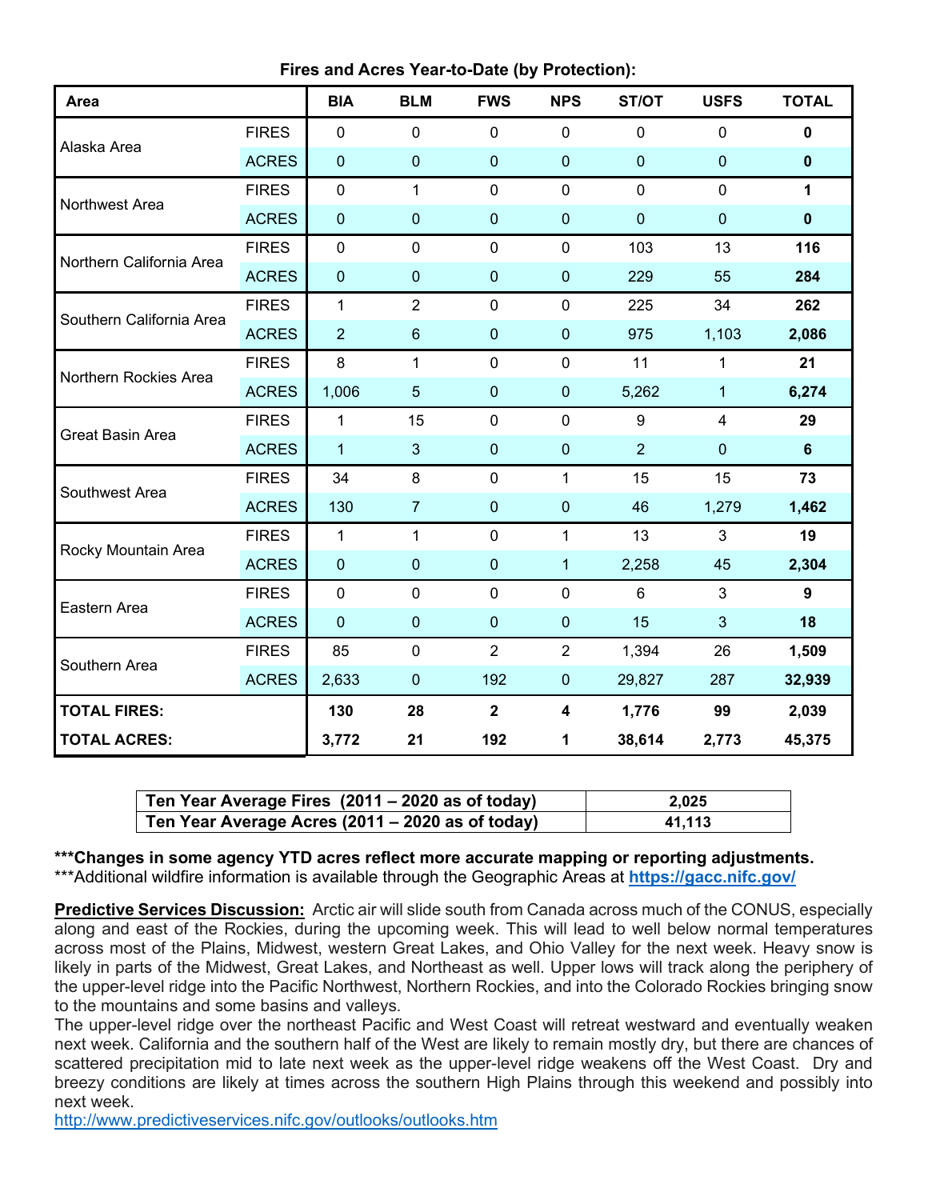| Area                     |              | <b>BIA</b>       | <b>BLM</b>     | <b>FWS</b>   | <b>NPS</b>       | ST/OT            | <b>USFS</b>      | <b>TOTAL</b>     |
|--------------------------|--------------|------------------|----------------|--------------|------------------|------------------|------------------|------------------|
|                          | <b>FIRES</b> | $\mathbf 0$      | $\mathbf 0$    | $\pmb{0}$    | $\mathbf 0$      | $\mathbf 0$      | $\pmb{0}$        | $\pmb{0}$        |
| Alaska Area              | <b>ACRES</b> | $\boldsymbol{0}$ | $\pmb{0}$      | $\pmb{0}$    | $\boldsymbol{0}$ | $\mathbf 0$      | $\boldsymbol{0}$ | $\pmb{0}$        |
| Northwest Area           | <b>FIRES</b> | $\mathbf 0$      | $\mathbf{1}$   | $\mathbf 0$  | $\mathbf 0$      | $\overline{0}$   | $\mathbf 0$      | 1                |
|                          | <b>ACRES</b> | $\boldsymbol{0}$ | $\pmb{0}$      | 0            | $\boldsymbol{0}$ | $\mathbf 0$      | $\mathbf 0$      | $\pmb{0}$        |
| Northern California Area | <b>FIRES</b> | $\mathbf 0$      | $\mathbf 0$    | $\mathbf 0$  | $\mathbf 0$      | 103              | 13               | 116              |
|                          | <b>ACRES</b> | $\boldsymbol{0}$ | $\pmb{0}$      | 0            | $\boldsymbol{0}$ | 229              | 55               | 284              |
| Southern California Area | <b>FIRES</b> | $\mathbf{1}$     | $\overline{2}$ | $\mathbf 0$  | $\mathbf 0$      | 225              | 34               | 262              |
|                          | <b>ACRES</b> | $\overline{2}$   | $\,6\,$        | $\mathbf 0$  | $\boldsymbol{0}$ | 975              | 1,103            | 2,086            |
| Northern Rockies Area    | <b>FIRES</b> | 8                | 1              | $\mathbf 0$  | $\mathbf 0$      | 11               | $\mathbf{1}$     | 21               |
|                          | <b>ACRES</b> | 1,006            | $\overline{5}$ | $\pmb{0}$    | $\boldsymbol{0}$ | 5,262            | $\mathbf{1}$     | 6,274            |
| <b>Great Basin Area</b>  | <b>FIRES</b> | 1                | 15             | $\mathbf 0$  | $\mathbf 0$      | $\boldsymbol{9}$ | 4                | 29               |
|                          | <b>ACRES</b> | $\mathbf{1}$     | $\mathbf{3}$   | 0            | $\boldsymbol{0}$ | $\overline{2}$   | 0                | $\boldsymbol{6}$ |
| Southwest Area           | <b>FIRES</b> | 34               | $\,8\,$        | $\mathbf 0$  | $\mathbf{1}$     | 15               | 15               | 73               |
|                          | <b>ACRES</b> | 130              | $\overline{7}$ | $\mathbf 0$  | $\boldsymbol{0}$ | 46               | 1,279            | 1,462            |
| Rocky Mountain Area      | <b>FIRES</b> | $\mathbf{1}$     | $\mathbf{1}$   | $\mathbf 0$  | $\mathbf{1}$     | 13               | 3                | 19               |
|                          | <b>ACRES</b> | $\boldsymbol{0}$ | $\pmb{0}$      | $\pmb{0}$    | $\mathbf{1}$     | 2,258            | 45               | 2,304            |
| Eastern Area             | <b>FIRES</b> | $\mathbf 0$      | $\mathbf 0$    | $\mathbf 0$  | $\mathbf 0$      | $6\phantom{1}$   | 3                | $\boldsymbol{9}$ |
|                          | <b>ACRES</b> | $\mathbf 0$      | $\pmb{0}$      | 0            | $\boldsymbol{0}$ | 15               | $\mathbf{3}$     | 18               |
| Southern Area            | <b>FIRES</b> | 85               | $\pmb{0}$      | 2            | $\overline{2}$   | 1,394            | 26               | 1,509            |
|                          | <b>ACRES</b> | 2,633            | $\pmb{0}$      | 192          | $\pmb{0}$        | 29,827           | 287              | 32,939           |
| <b>TOTAL FIRES:</b>      |              | 130              | 28             | $\mathbf{2}$ | 4                | 1,776            | 99               | 2,039            |
| <b>TOTAL ACRES:</b>      |              | 3,772            | 21             | 192          | 1                | 38,614           | 2,773            | 45,375           |

| Ten Year Average Fires (2011 – 2020 as of today) | 2.025  |
|--------------------------------------------------|--------|
| Ten Year Average Acres (2011 – 2020 as of today) | 41.113 |

**\*\*\*Changes in some agency YTD acres reflect more accurate mapping or reporting adjustments.** \*\*\*Additional wildfire information is available through the Geographic Areas at **<https://gacc.nifc.gov/>**

**Predictive Services Discussion:** Arctic air will slide south from Canada across much of the CONUS, especially along and east of the Rockies, during the upcoming week. This will lead to well below normal temperatures across most of the Plains, Midwest, western Great Lakes, and Ohio Valley for the next week. Heavy snow is likely in parts of the Midwest, Great Lakes, and Northeast as well. Upper lows will track along the periphery of the upper-level ridge into the Pacific Northwest, Northern Rockies, and into the Colorado Rockies bringing snow to the mountains and some basins and valleys.

The upper-level ridge over the northeast Pacific and West Coast will retreat westward and eventually weaken next week. California and the southern half of the West are likely to remain mostly dry, but there are chances of scattered precipitation mid to late next week as the upper-level ridge weakens off the West Coast. Dry and breezy conditions are likely at times across the southern High Plains through this weekend and possibly into next week.

<http://www.predictiveservices.nifc.gov/outlooks/outlooks.htm>